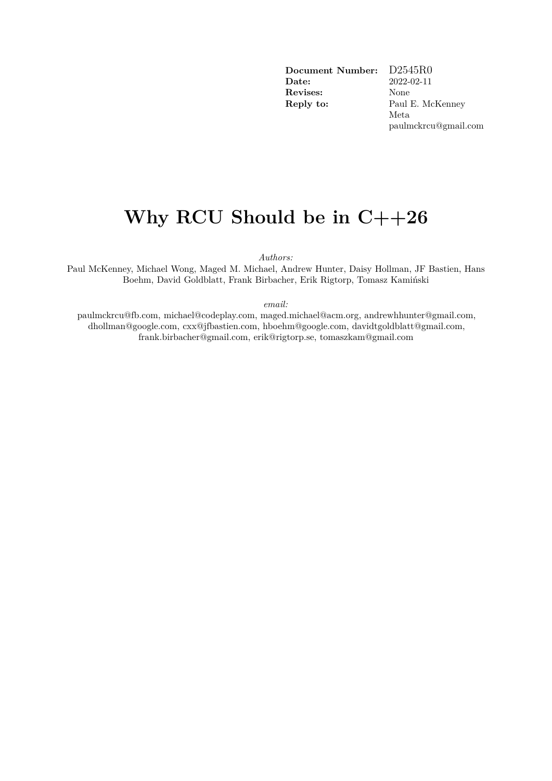**Document Number:** D2545R0 **Date:** 2022-02-11 **Revises:** None **Reply to:** Paul E. McKenney

Meta paulmckrcu@gmail.com

# **Why RCU Should be in C++26**

*Authors:*

Paul McKenney, Michael Wong, Maged M. Michael, Andrew Hunter, Daisy Hollman, JF Bastien, Hans Boehm, David Goldblatt, Frank Birbacher, Erik Rigtorp, Tomasz Kamiński

*email:*

paulmckrcu@fb.com, michael@codeplay.com, maged.michael@acm.org, andrewhhunter@gmail.com, dhollman@google.com, cxx@jfbastien.com, hboehm@google.com, davidtgoldblatt@gmail.com, frank.birbacher@gmail.com, erik@rigtorp.se, tomaszkam@gmail.com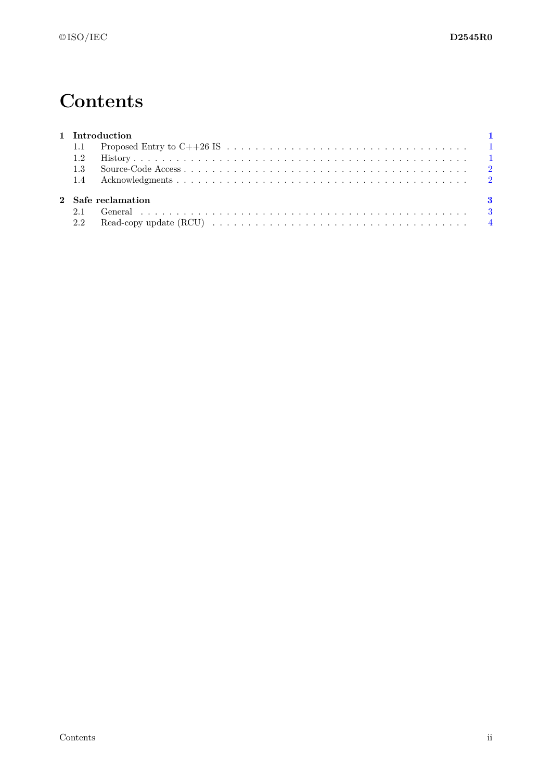# **Contents**

| 1 Introduction            |  |  |  |  |
|---------------------------|--|--|--|--|
|                           |  |  |  |  |
|                           |  |  |  |  |
|                           |  |  |  |  |
|                           |  |  |  |  |
| 2 Safe reclamation<br>- 3 |  |  |  |  |
|                           |  |  |  |  |
|                           |  |  |  |  |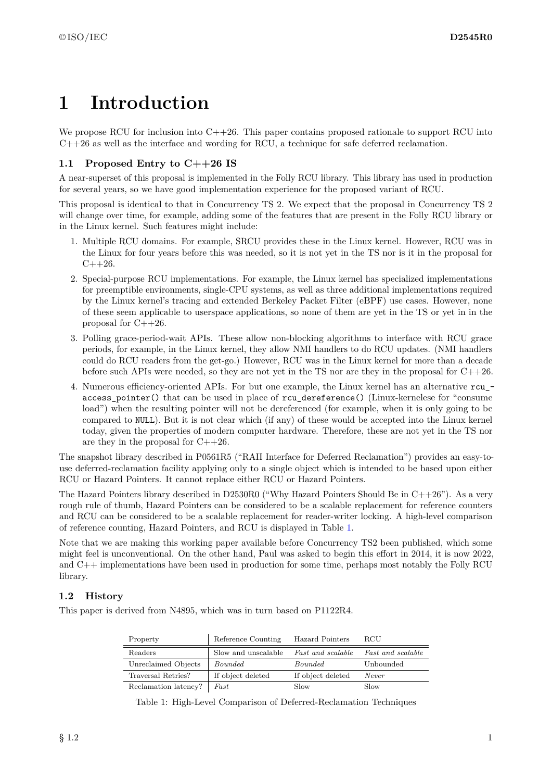# <span id="page-2-0"></span>**1 Introduction**

We propose RCU for inclusion into  $C++26$ . This paper contains proposed rationale to support RCU into C++26 as well as the interface and wording for RCU, a technique for safe deferred reclamation.

## <span id="page-2-1"></span>**1.1 Proposed Entry to C++26 IS**

A near-superset of this proposal is implemented in the Folly RCU library. This library has used in production for several years, so we have good implementation experience for the proposed variant of RCU.

This proposal is identical to that in Concurrency TS 2. We expect that the proposal in Concurrency TS 2 will change over time, for example, adding some of the features that are present in the Folly RCU library or in the Linux kernel. Such features might include:

- 1. Multiple RCU domains. For example, SRCU provides these in the Linux kernel. However, RCU was in the Linux for four years before this was needed, so it is not yet in the TS nor is it in the proposal for  $C++26.$
- 2. Special-purpose RCU implementations. For example, the Linux kernel has specialized implementations for preemptible environments, single-CPU systems, as well as three additional implementations required by the Linux kernel's tracing and extended Berkeley Packet Filter (eBPF) use cases. However, none of these seem applicable to userspace applications, so none of them are yet in the TS or yet in in the proposal for  $C++26$ .
- 3. Polling grace-period-wait APIs. These allow non-blocking algorithms to interface with RCU grace periods, for example, in the Linux kernel, they allow NMI handlers to do RCU updates. (NMI handlers could do RCU readers from the get-go.) However, RCU was in the Linux kernel for more than a decade before such APIs were needed, so they are not yet in the TS nor are they in the proposal for  $C++26$ .
- 4. Numerous efficiency-oriented APIs. For but one example, the Linux kernel has an alternative rcu\_ access\_pointer() that can be used in place of rcu\_dereference() (Linux-kernelese for "consume load") when the resulting pointer will not be dereferenced (for example, when it is only going to be compared to NULL). But it is not clear which (if any) of these would be accepted into the Linux kernel today, given the properties of modern computer hardware. Therefore, these are not yet in the TS nor are they in the proposal for  $C++26$ .

The snapshot library described in P0561R5 ("RAII Interface for Deferred Reclamation") provides an easy-touse deferred-reclamation facility applying only to a single object which is intended to be based upon either RCU or Hazard Pointers. It cannot replace either RCU or Hazard Pointers.

The Hazard Pointers library described in D2530R0 ("Why Hazard Pointers Should Be in  $C++26$ "). As a very rough rule of thumb, Hazard Pointers can be considered to be a scalable replacement for reference counters and RCU can be considered to be a scalable replacement for reader-writer locking. A high-level comparison of reference counting, Hazard Pointers, and RCU is displayed in Table [1.](#page-2-3)

Note that we are making this working paper available before Concurrency TS2 been published, which some might feel is unconventional. On the other hand, Paul was asked to begin this effort in 2014, it is now 2022, and C++ implementations have been used in production for some time, perhaps most notably the Folly RCU library.

## <span id="page-2-2"></span>**1.2 History**

This paper is derived from N4895, which was in turn based on P1122R4.

| Property             | Reference Counting  | Hazard Pointers   | <b>RCU</b>               |
|----------------------|---------------------|-------------------|--------------------------|
| Readers              | Slow and unscalable | Fast and scalable | <i>Fast and scalable</i> |
| Unreclaimed Objects  | Bounded             | <i>Bounded</i>    | Unbounded                |
| Traversal Retries?   | If object deleted   | If object deleted | Never                    |
| Reclamation latency? | Fast                | Slow              | Slow                     |

<span id="page-2-3"></span>Table 1: High-Level Comparison of Deferred-Reclamation Techniques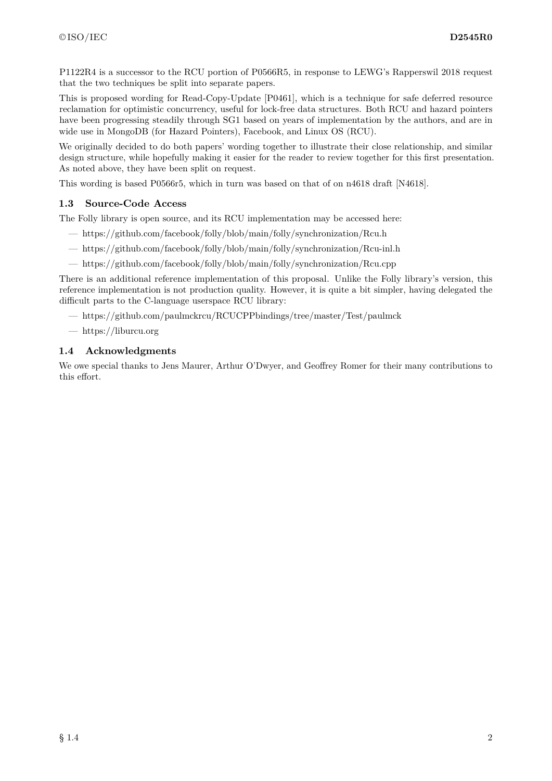P1122R4 is a successor to the RCU portion of P0566R5, in response to LEWG's Rapperswil 2018 request that the two techniques be split into separate papers.

This is proposed wording for Read-Copy-Update [P0461], which is a technique for safe deferred resource reclamation for optimistic concurrency, useful for lock-free data structures. Both RCU and hazard pointers have been progressing steadily through SG1 based on years of implementation by the authors, and are in wide use in MongoDB (for Hazard Pointers), Facebook, and Linux OS (RCU).

We originally decided to do both papers' wording together to illustrate their close relationship, and similar design structure, while hopefully making it easier for the reader to review together for this first presentation. As noted above, they have been split on request.

This wording is based P0566r5, which in turn was based on that of on n4618 draft [N4618].

### <span id="page-3-0"></span>**1.3 Source-Code Access**

The Folly library is open source, and its RCU implementation may be accessed here:

- https://github.com/facebook/folly/blob/main/folly/synchronization/Rcu.h
- https://github.com/facebook/folly/blob/main/folly/synchronization/Rcu-inl.h
- https://github.com/facebook/folly/blob/main/folly/synchronization/Rcu.cpp

There is an additional reference implementation of this proposal. Unlike the Folly library's version, this reference implementation is not production quality. However, it is quite a bit simpler, having delegated the difficult parts to the C-language userspace RCU library:

- https://github.com/paulmckrcu/RCUCPPbindings/tree/master/Test/paulmck
- https://liburcu.org

### <span id="page-3-1"></span>**1.4 Acknowledgments**

We owe special thanks to Jens Maurer, Arthur O'Dwyer, and Geoffrey Romer for their many contributions to this effort.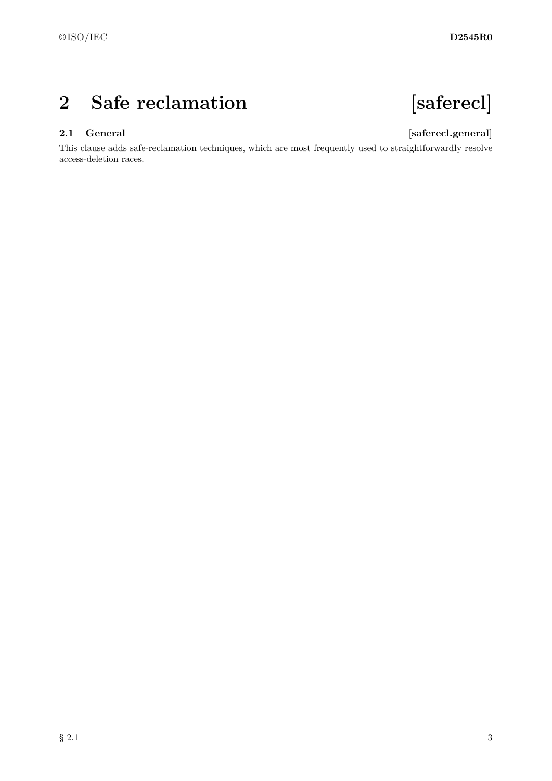# <span id="page-4-0"></span>**2 Safe reclamation [saferecl]**

# <span id="page-4-1"></span>**2.1 General [saferecl.general]**

This clause adds safe-reclamation techniques, which are most frequently used to straightforwardly resolve access-deletion races.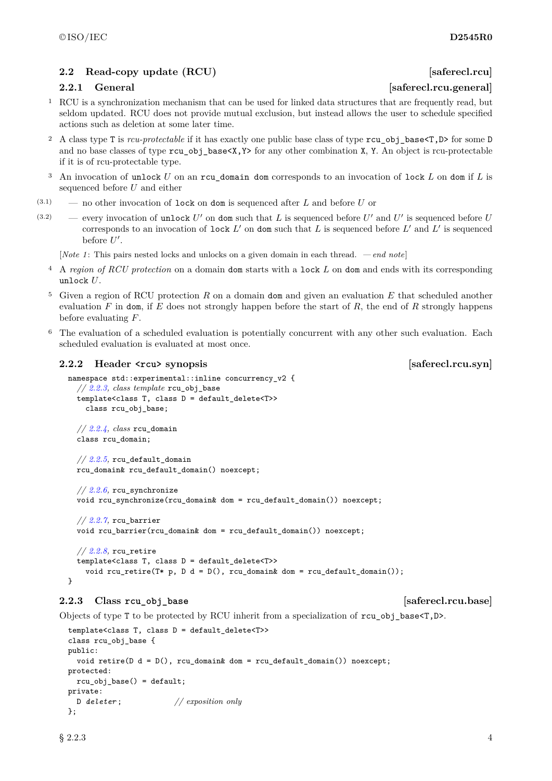## <span id="page-5-0"></span>**2.2** Read-copy update (RCU) [saferecl.rcu]

- <sup>1</sup> RCU is a synchronization mechanism that can be used for linked data structures that are frequently read, but seldom updated. RCU does not provide mutual exclusion, but instead allows the user to schedule specified actions such as deletion at some later time.
- <sup>2</sup> A class type T is *rcu-protectable* if it has exactly one public base class of type rcu\_obj\_base<T,D> for some D and no base classes of type  $rcu$  obj base $\langle X, Y \rangle$  for any other combination X, Y. An object is rcu-protectable if it is of rcu-protectable type.
- <sup>3</sup> An invocation of unlock *U* on an rcu\_domain dom corresponds to an invocation of lock *L* on dom if *L* is sequenced before *U* and either
- (3.1) no other invocation of lock on dom is sequenced after *L* and before *U* or
- (3.2) every invocation of unlock  $U'$  on dom such that  $L$  is sequenced before  $U'$  and  $U'$  is sequenced before  $U$ corresponds to an invocation of lock  $L'$  on dom such that  $L$  is sequenced before  $L'$  and  $L'$  is sequenced before  $U'$ .

[*Note 1* : This pairs nested locks and unlocks on a given domain in each thread. *— end note*]

- <sup>4</sup> A *region of RCU protection* on a domain dom starts with a lock *L* on dom and ends with its corresponding unlock *U*.
- <sup>5</sup> Given a region of RCU protection *R* on a domain dom and given an evaluation *E* that scheduled another evaluation *F* in dom, if *E* does not strongly happen before the start of *R*, the end of *R* strongly happens before evaluating *F*.
- The evaluation of a scheduled evaluation is potentially concurrent with any other such evaluation. Each scheduled evaluation is evaluated at most once.

### **2.2.2 Header synopsis example 1 synopsis [saferecl.rcu.syn**]

```
namespace std::experimental::inline concurrency_v2 {
  // 2.2.3, class template rcu_obj_base
  template<class T, class D = default_delete<T>>
    class rcu_obj_base;
  // 2.2.4, class rcu_domain
  class rcu_domain;
  // 2.2.5, rcu_default_domain
  rcu_domain& rcu_default_domain() noexcept;
```

```
// 2.2.6, rcu_synchronize
void rcu_synchronize(rcu_domain& dom = rcu_default_domain()) noexcept;
```

```
// 2.2.7, rcu_barrier
void rcu_barrier(rcu_domain& dom = rcu_default_domain()) noexcept;
```

```
// 2.2.8, rcu_retire
  template<class T, class D = default_delete<T>>
    void rcu_retire(T* p, D d = D(), rcu_domain& dom = rcu_default_domain());
}
```
### <span id="page-5-1"></span>**2.2.3 Class rcu\_obj\_base [saferecl.rcu.base]**

Objects of type T to be protected by RCU inherit from a specialization of  $rcu$ <sub>-</sub>obj<sub>-</sub>base $\langle T,D \rangle$ .

```
template<class T, class D = default_delete<T>>
class rcu_obj_base {
public:
  void retire(D d = D(), rcu_domain& dom = rcu_default_domain()) noexcept;
protected:
 rcu_obj_base() = default;
private:
 D deleter ; // exposition only
};
```
## $\S 2.2.3$  4

# **2.2.1 General Example 2.2.1 General** *Saferecl.rcu.general*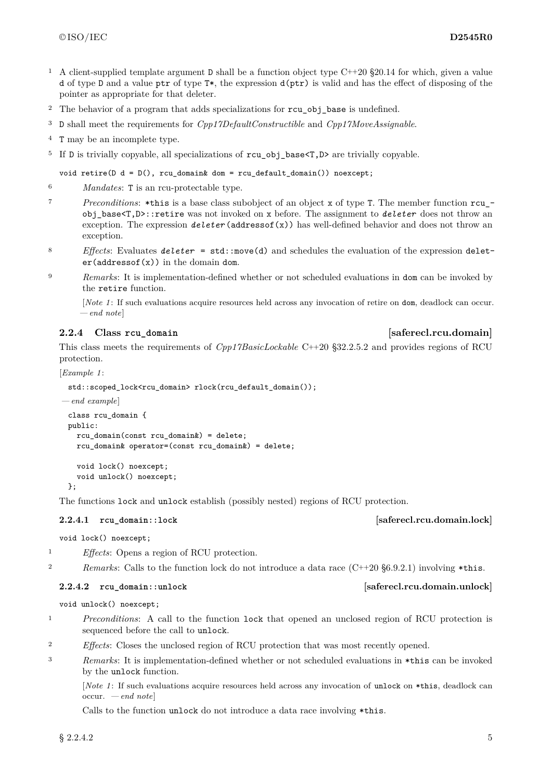- <sup>1</sup> A client-supplied template argument D shall be a function object type C++20 §20.14 for which, given a value d of type D and a value ptr of type T\*, the expression d(ptr) is valid and has the effect of disposing of the pointer as appropriate for that deleter.
- <sup>2</sup> The behavior of a program that adds specializations for rcu obj base is undefined.
- <sup>3</sup> D shall meet the requirements for *Cpp17DefaultConstructible* and *Cpp17MoveAssignable*.
- <sup>4</sup> T may be an incomplete type.
- <sup>5</sup> If D is trivially copyable, all specializations of rcu\_obj\_base<T,D> are trivially copyable.

void retire( $D d = D()$ , rcu\_domain& dom = rcu\_default\_domain()) noexcept;

- <sup>6</sup> *Mandates*: T is an rcu-protectable type.
- <sup>7</sup> *Preconditions*: \*this is a base class subobject of an object x of type T. The member function rcu\_ obj\_base<T,D>::retire was not invoked on x before. The assignment to *deleter* does not throw an exception. The expression *deleter* (addressof(x)) has well-defined behavior and does not throw an exception.
- <sup>8</sup> *Effects*: Evaluates *deleter* = std::move(d) and schedules the evaluation of the expression delet $er(addressof(x))$  in the domain dom.
- <sup>9</sup> *Remarks*: It is implementation-defined whether or not scheduled evaluations in dom can be invoked by the retire function.

[*Note 1* : If such evaluations acquire resources held across any invocation of retire on dom, deadlock can occur. *— end note*]

### <span id="page-6-0"></span>**2.2.4 Class rcu** domain *Class leads leads* **<b>***leads leads leads* **<b>***leads leads leads* **<b>***leads leads leads* **<b>***leads leads leads leads leads* **<b>***leads leads leads* **<b>***l*

This class meets the requirements of *Cpp17BasicLockable* C++20 §32.2.5.2 and provides regions of RCU protection.

[*Example 1* :

std::scoped\_lock<rcu\_domain> rlock(rcu\_default\_domain());

```
— end example]
 class rcu_domain {
 public:
   rcu_domain(const rcu_domain&) = delete;
   rcu_domain& operator=(const rcu_domain&) = delete;
   void lock() noexcept;
   void unlock() noexcept;
 \lambda:
```
The functions lock and unlock establish (possibly nested) regions of RCU protection.

### **2.2.4.1 rcu\_domain::lock [saferecl.rcu.domain.lock]**

void lock() noexcept;

<sup>1</sup> *Effects*: Opens a region of RCU protection.

<sup>2</sup> *Remarks*: Calls to the function lock do not introduce a data race (C++20 §6.9.2.1) involving \*this.

### **2.2.4.2 rcu\_domain::unlock [saferecl.rcu.domain.unlock]**

void unlock() noexcept;

- <sup>1</sup> *Preconditions*: A call to the function lock that opened an unclosed region of RCU protection is sequenced before the call to unlock.
- <sup>2</sup> *Effects*: Closes the unclosed region of RCU protection that was most recently opened.
- <sup>3</sup> *Remarks*: It is implementation-defined whether or not scheduled evaluations in \*this can be invoked by the unlock function.

[*Note 1*: If such evaluations acquire resources held across any invocation of unlock on \*this, deadlock can occur. *— end note*]

Calls to the function unlock do not introduce a data race involving \*this.